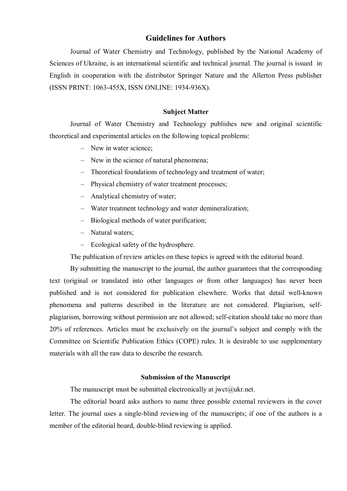# **Guidelines for Authors**

Journal of Water Chemistry and Technology, published by the National Academy of Sciences of Ukraine, is an international scientific and technical journal. The journal is issued in English in cooperation with the distributor Springer Nature and the Allerton Press publisher (ISSN PRINT: 1063-455X, ISSN ONLINE: 1934-936X).

## **Subject Matter**

Journal of Water Chemistry and Technology publishes new and original scientific theoretical and experimental articles on the following topical problems:

- New in water science;
- New in the science of natural phenomena;
- Theoretical foundations of technology and treatment of water;
- Physical chemistry of water treatment processes;
- Analytical chemistry of water;
- Water treatment technology and water demineralization;
- Biological methods of water purification;
- Natural waters;
- Ecological safety of the hydrosphere.

The publication of review articles on these topics is agreed with the editorial board.

By submitting the manuscript to the journal, the author guarantees that the corresponding text (original or translated into other languages or from other languages) has never been published and is not considered for publication elsewhere. Works that detail well-known phenomena and patterns described in the literature are not considered. Plagiarism, selfplagiarism, borrowing without permission are not allowed; self-citation should take no more than 20% of references. Articles must be exclusively on the journal's subject and comply with the Committee on Scientific Publication Ethics (COPE) rules. It is desirable to use supplementary materials with all the raw data to describe the research.

## **Submission of the Manuscript**

The manuscript must be submitted electronically at jwct $(\partial_t u\,$ kr.net.

The editorial board asks authors to name three possible external reviewers in the cover letter. The journal uses a single-blind reviewing of the manuscripts; if one of the authors is a member of the editorial board, double-blind reviewing is applied.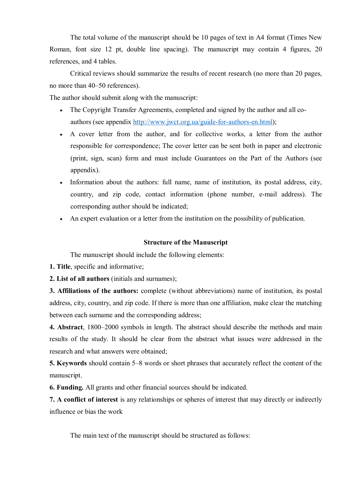The total volume of the manuscript should be 10 pages of text in A4 format (Times New Roman, font size 12 pt, double line spacing). The manuscript may contain 4 figures, 20 references, and 4 tables.

Critical reviews should summarize the results of recent research (no more than 20 pages, no more than 40–50 references).

The author should submit along with the manuscript:

- The Copyright Transfer Agreements, completed and signed by the author and all coauthors (see appendix [http://www.jwct.org.ua/guide-for-authors-en.html\)](http://www.jwct.org.ua/guide-for-authors-en.html);
- A cover letter from the author, and for collective works, a letter from the author responsible for correspondence; The cover letter can be sent both in paper and electronic (print, sign, scan) form and must include Guarantees on the Part of the Authors (see appendix).
- Information about the authors: full name, name of institution, its postal address, city, country, and zip code, contact information (phone number, e-mail address). The corresponding author should be indicated;
- An expert evaluation or a letter from the institution on the possibility of publication.

## **Structure of the Manuscript**

The manuscript should include the following elements:

- **1. Title**, specific and informative;
- **2. List of all authors** (initials and surnames);

**3. Affiliations of the authors:** complete (without abbreviations) name of institution, its postal address, city, country, and zip code. If there is more than one affiliation, make clear the matching between each surname and the corresponding address;

**4. Abstract**, 1800–2000 symbols in length. The abstract should describe the methods and main results of the study. It should be clear from the abstract what issues were addressed in the research and what answers were obtained;

**5. Keywords** should contain 5–8 words or short phrases that accurately reflect the content of the manuscript.

**6. Funding.** All grants and other financial sources should be indicated.

**7. A conflict of interest** is any relationships or spheres of interest that may directly or indirectly influence or bias the work

The main text of the manuscript should be structured as follows: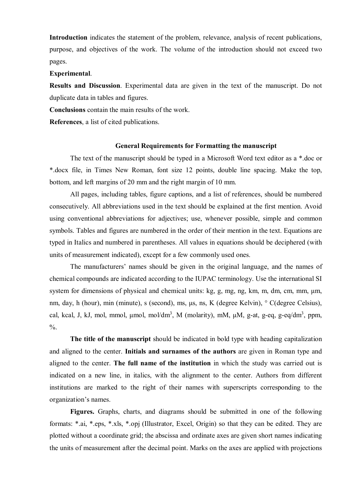**Introduction** indicates the statement of the problem, relevance, analysis of recent publications, purpose, and objectives of the work. The volume of the introduction should not exceed two pages.

### **Experimental**.

**Results and Discussion**. Experimental data are given in the text of the manuscript. Do not duplicate data in tables and figures.

**Conclusions** contain the main results of the work.

**References**, a list of cited publications.

#### **General Requirements for Formatting the manuscript**

The text of the manuscript should be typed in a Microsoft Word text editor as a \*.doc or \*.docx file, in Times New Roman, font size 12 points, double line spacing. Make the top, bottom, and left margins of 20 mm and the right margin of 10 mm.

All pages, including tables, figure captions, and a list of references, should be numbered consecutively. All abbreviations used in the text should be explained at the first mention. Avoid using conventional abbreviations for adjectives; use, whenever possible, simple and common symbols. Tables and figures are numbered in the order of their mention in the text. Equations are typed in Italics and numbered in parentheses. All values in equations should be deciphered (with units of measurement indicated), except for a few commonly used ones.

The manufacturers' names should be given in the original language, and the names of chemical compounds are indicated according to the IUPAC terminology. Use the international SI system for dimensions of physical and chemical units: kg, g, mg, ng, km, m, dm, cm, mm, μm, nm, day, h (hour), min (minute), s (second), ms, μs, ns, K (degree Kelvin), ° C(degree Celsius), cal, kcal, J, kJ, mol, mmol,  $\mu$ mol, mol/dm<sup>3</sup>, M (molarity), mM,  $\mu$ M, g-at, g-eq, g-eq/dm<sup>3</sup>, ppm,  $\frac{0}{6}$ .

**The title of the manuscript** should be indicated in bold type with heading capitalization and aligned to the center. **Initials and surnames of the authors** are given in Roman type and aligned to the center. **The full name of the institution** in which the study was carried out is indicated on a new line, in italics, with the alignment to the center. Authors from different institutions are marked to the right of their names with superscripts corresponding to the organization's names.

**Figures.** Graphs, charts, and diagrams should be submitted in one of the following formats: \*.ai, \*.eps, \*.xls, \*.opj (Illustrator, Excel, Origin) so that they can be edited. They are plotted without a coordinate grid; the abscissa and ordinate axes are given short names indicating the units of measurement after the decimal point. Marks on the axes are applied with projections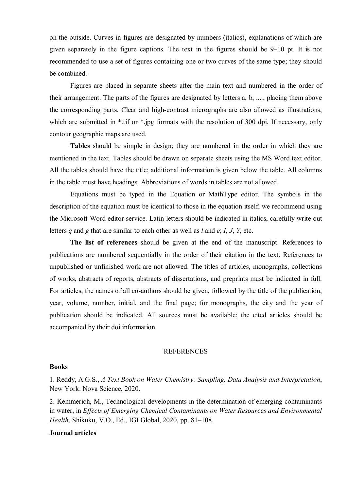on the outside. Curves in figures are designated by numbers (italics), explanations of which are given separately in the figure captions. The text in the figures should be 9–10 pt. It is not recommended to use a set of figures containing one or two curves of the same type; they should be combined.

Figures are placed in separate sheets after the main text and numbered in the order of their arrangement. The parts of the figures are designated by letters a, b, ...., placing them above the corresponding parts. Clear and high-contrast micrographs are also allowed as illustrations, which are submitted in \*.tif or \*.jpg formats with the resolution of 300 dpi. If necessary, only contour geographic maps are used.

**Tables** should be simple in design; they are numbered in the order in which they are mentioned in the text. Tables should be drawn on separate sheets using the MS Word text editor. All the tables should have the title; additional information is given below the table. All columns in the table must have headings. Abbreviations of words in tables are not allowed.

Equations must be typed in the Equation or MathType editor. The symbols in the description of the equation must be identical to those in the equation itself; we recommend using the Microsoft Word editor service. Latin letters should be indicated in italics, carefully write out letters *q* and *g* that are similar to each other as well as *l* and *e*; *I*, *J*, *Y*, etc.

**The list of references** should be given at the end of the manuscript. References to publications are numbered sequentially in the order of their citation in the text. References to unpublished or unfinished work are not allowed. The titles of articles, monographs, collections of works, abstracts of reports, abstracts of dissertations, and preprints must be indicated in full. For articles, the names of all co-authors should be given, followed by the title of the publication, year, volume, number, initial, and the final page; for monographs, the city and the year of publication should be indicated. All sources must be available; the cited articles should be accompanied by their doi information.

#### REFERENCES

#### **Books**

1. Reddy, A.G.S., *A Text Book on Water Chemistry: Sampling, Data Analysis and Interpretation*, New York: Nova Science, 2020.

2. Kemmerich, M., Technological developments in the determination of emerging contaminants in water, in *Effects of Emerging Chemical Contaminants on Water Resources and Environmental Health*, Shikuku, V.O., Ed., IGI Global, 2020, pp. 81–108.

### **Journal articles**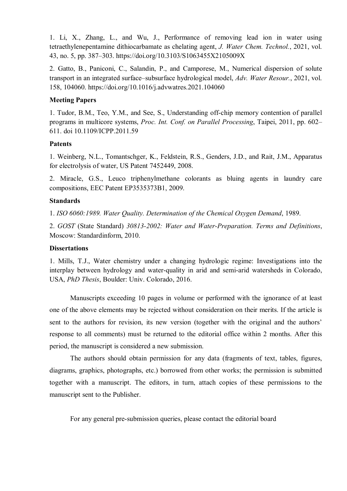1. Li, X., Zhang, L., and Wu, J., Performance of removing lead ion in water using tetraethylenepentamine dithiocarbamate as chelating agent, *J. Water Chem. Technol.*, 2021, vol. 43, no. 5, pp. 387–303. https://doi.org/10.3103/S1063455X2105009X

2. Gatto, B., Paniconi, C., Salandin, P., and Camporese, M., Numerical dispersion of solute transport in an integrated surface–subsurface hydrological model, *Adv. Water Resour.*, 2021, vol. 158, 104060. https://doi.org/10.1016/j.advwatres.2021.104060

# **Meeting Papers**

1. Tudor, B.M., Teo, Y.M., and See, S., Understanding off-chip memory contention of parallel programs in multicore systems, *Proc. Int. Conf. on Parallel Processing*, Taipei, 2011, pp. 602– 611. doi 10.1109/ICPP.2011.59

## **Patents**

1. Weinberg, N.L., Tomantschger, K., Feldstein, R.S., Genders, J.D., and Rait, J.M., Apparatus for electrolysis of water, US Patent 7452449, 2008.

2. Miracle, G.S., Leuco triphenylmethane colorants as bluing agents in laundry care compositions, EEC Patent EP3535373B1, 2009.

## **Standards**

1. *ISO 6060:1989. Water Quality. Determination of the Chemical Oxygen Demand*, 1989.

2. *GOST* (State Standard) *30813-2002: Water and Water-Preparation. Terms and Definitions*, Moscow: Standardinform, 2010.

## **Dissertations**

1. Mills, T.J., Water chemistry under a changing hydrologic regime: Investigations into the interplay between hydrology and water-quality in arid and semi-arid watersheds in Colorado, USA, *PhD Thesis*, Boulder: Univ. Colorado, 2016.

Manuscripts exceeding 10 pages in volume or performed with the ignorance of at least one of the above elements may be rejected without consideration on their merits. If the article is sent to the authors for revision, its new version (together with the original and the authors' response to all comments) must be returned to the editorial office within 2 months. After this period, the manuscript is considered a new submission.

The authors should obtain permission for any data (fragments of text, tables, figures, diagrams, graphics, photographs, etc.) borrowed from other works; the permission is submitted together with a manuscript. The editors, in turn, attach copies of these permissions to the manuscript sent to the Publisher.

For any general pre-submission queries, please contact the editorial board